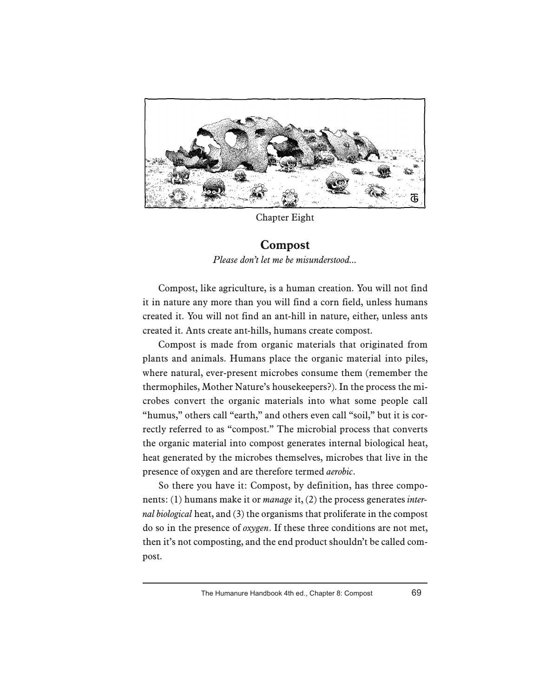

Chapter Eight

## **Compost**

*Please don't let me be misunderstood...*

Compost, like agriculture, is a human creation. You will not find it in nature any more than you will find a corn field, unless humans created it. You will not find an ant-hill in nature, either, unless ants created it. Ants create ant-hills, humans create compost.

Compost is made from organic materials that originated from plants and animals. Humans place the organic material into piles, where natural, ever-present microbes consume them (remember the thermophiles, Mother Nature's housekeepers?). In the process the microbes convert the organic materials into what some people call "humus," others call "earth," and others even call "soil," but it is correctly referred to as "compost." The microbial process that converts the organic material into compost generates internal biological heat, heat generated by the microbes themselves, microbes that live in the presence of oxygen and are therefore termed *aerobic*.

So there you have it: Compost, by definition, has three components: (1) humans make it or *manage* it, (2) the process generates *internal biological* heat, and (3) the organisms that proliferate in the compost do so in the presence of *oxygen*. If these three conditions are not met, then it's not composting, and the end product shouldn't be called compost.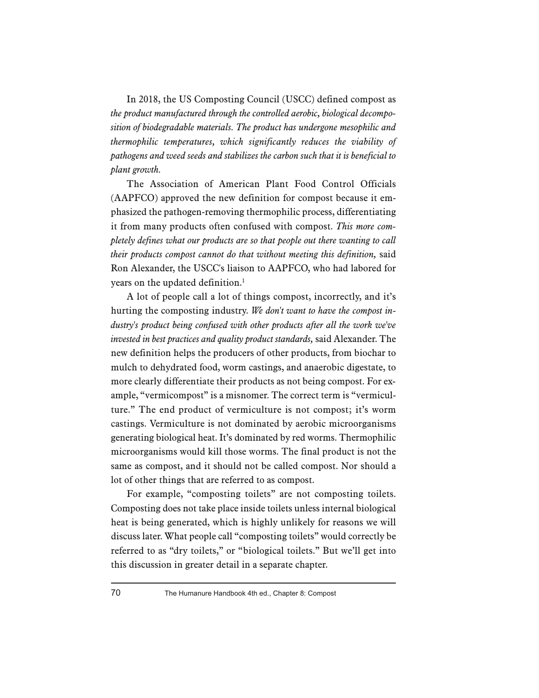In 2018, the US Composting Council (USCC) defined compost as *the product manufactured through the controlled aerobic, biological decomposition of biodegradable materials. The product has undergone mesophilic and thermophilic temperatures, which significantly reduces the viability of pathogens and weed seeds and stabilizes the carbon such that it is beneficial to plant growth.* 

The Association of American Plant Food Control Officials (AAPFCO) approved the new definition for compost because it emphasized the pathogen-removing thermophilic process, differentiating it from many products often confused with compost. *This more completely defines what our products are so that people out there wanting to call their products compost cannot do that without meeting this definition,* said Ron Alexander, the USCC's liaison to AAPFCO, who had labored for years on the updated definition.<sup>1</sup>

A lot of people call a lot of things compost, incorrectly, and it's hurting the composting industry. *We don't want to have the compost industry's product being confused with other products after all the work we've invested in best practices and quality product standards,* said Alexander. The new definition helps the producers of other products, from biochar to mulch to dehydrated food, worm castings, and anaerobic digestate, to more clearly differentiate their products as not being compost. For example, "vermicompost" is a misnomer. The correct term is "vermiculture." The end product of vermiculture is not compost; it's worm castings. Vermiculture is not dominated by aerobic microorganisms generating biological heat. It's dominated by red worms. Thermophilic microorganisms would kill those worms. The final product is not the same as compost, and it should not be called compost. Nor should a lot of other things that are referred to as compost.

For example, "composting toilets" are not composting toilets. Composting does not take place inside toilets unless internal biological heat is being generated, which is highly unlikely for reasons we will discuss later. What people call "composting toilets" would correctly be referred to as "dry toilets," or "biological toilets." But we'll get into this discussion in greater detail in a separate chapter.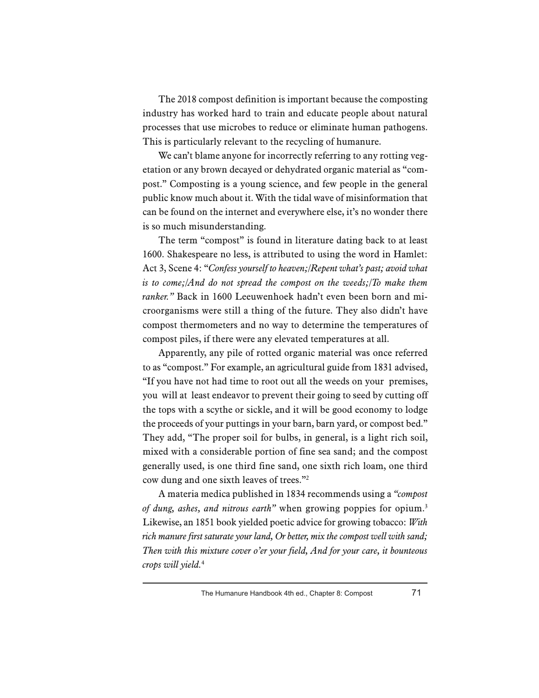The 2018 compost definition is important because the composting industry has worked hard to train and educate people about natural processes that use microbes to reduce or eliminate human pathogens. This is particularly relevant to the recycling of humanure.

We can't blame anyone for incorrectly referring to any rotting vegetation or any brown decayed or dehydrated organic material as "compost." Composting is a young science, and few people in the general public know much about it. With the tidal wave of misinformation that can be found on the internet and everywhere else, it's no wonder there is so much misunderstanding.

The term "compost" is found in literature dating back to at least 1600. Shakespeare no less, is attributed to using the word in Hamlet: Act 3, Scene 4: "*Confess yourself to heaven;/Repent what's past; avoid what is to come;/And do not spread the compost on the weeds;/To make them ranker."* Back in 1600 Leeuwenhoek hadn't even been born and microorganisms were still a thing of the future. They also didn't have compost thermometers and no way to determine the temperatures of compost piles, if there were any elevated temperatures at all.

Apparently, any pile of rotted organic material was once referred to as "compost." For example, an agricultural guide from 1831 advised, "If you have not had time to root out all the weeds on your premises, you will at least endeavor to prevent their going to seed by cutting off the tops with a scythe or sickle, and it will be good economy to lodge the proceeds of your puttings in your barn, barn yard, or compost bed." They add, "The proper soil for bulbs, in general, is a light rich soil, mixed with a considerable portion of fine sea sand; and the compost generally used, is one third fine sand, one sixth rich loam, one third cow dung and one sixth leaves of trees."2

A materia medica published in 1834 recommends using a *"compost of dung, ashes, and nitrous earth"* when growing poppies for opium.3 Likewise, an 1851 book yielded poetic advice for growing tobacco: *With rich manure first saturate your land, Or better, mix the compost well with sand; Then with this mixture cover o'er your field, And for your care, it bounteous crops will yield.*<sup>4</sup>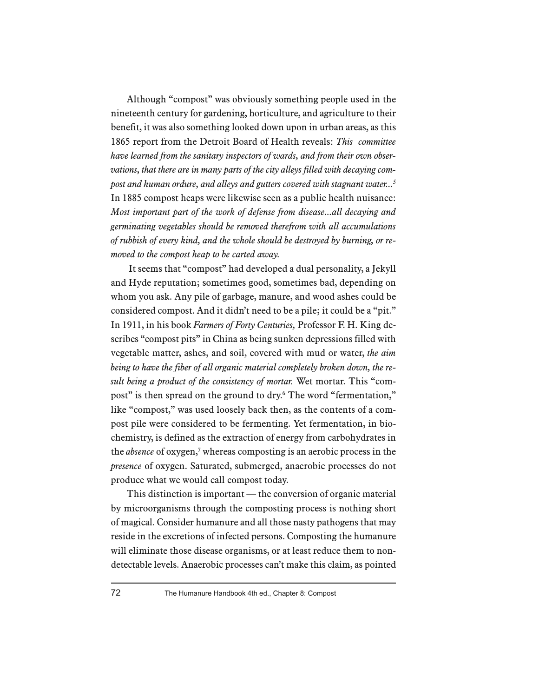Although "compost" was obviously something people used in the nineteenth century for gardening, horticulture, and agriculture to their benefit, it was also something looked down upon in urban areas, as this 1865 report from the Detroit Board of Health reveals: *This committee have learned from the sanitary inspectors of wards, and from their own observations, that there are in many parts of the city alleys filled with decaying compost and human ordure, and alleys and gutters covered with stagnant water...5* In 1885 compost heaps were likewise seen as a public health nuisance: *Most important part of the work of defense from disease...all decaying and germinating vegetables should be removed therefrom with all accumulations of rubbish of every kind, and the whole should be destroyed by burning, or removed to the compost heap to be carted away.*

 It seems that "compost" had developed a dual personality, a Jekyll and Hyde reputation; sometimes good, sometimes bad, depending on whom you ask. Any pile of garbage, manure, and wood ashes could be considered compost. And it didn't need to be a pile; it could be a "pit." In 1911, in his book *Farmers of Forty Centuries,* Professor F. H. King describes "compost pits" in China as being sunken depressions filled with vegetable matter, ashes, and soil, covered with mud or water, *the aim being to have the fiber of all organic material completely broken down, the result being a product of the consistency of mortar.* Wet mortar. This "compost" is then spread on the ground to dry.<sup>6</sup> The word "fermentation," like "compost," was used loosely back then, as the contents of a compost pile were considered to be fermenting. Yet fermentation, in biochemistry, is defined as the extraction of energy from carbohydrates in the *absence* of oxygen,<sup>7</sup> whereas composting is an aerobic process in the *presence* of oxygen. Saturated, submerged, anaerobic processes do not produce what we would call compost today.

This distinction is important — the conversion of organic material by microorganisms through the composting process is nothing short of magical. Consider humanure and all those nasty pathogens that may reside in the excretions of infected persons. Composting the humanure will eliminate those disease organisms, or at least reduce them to nondetectable levels. Anaerobic processes can't make this claim, as pointed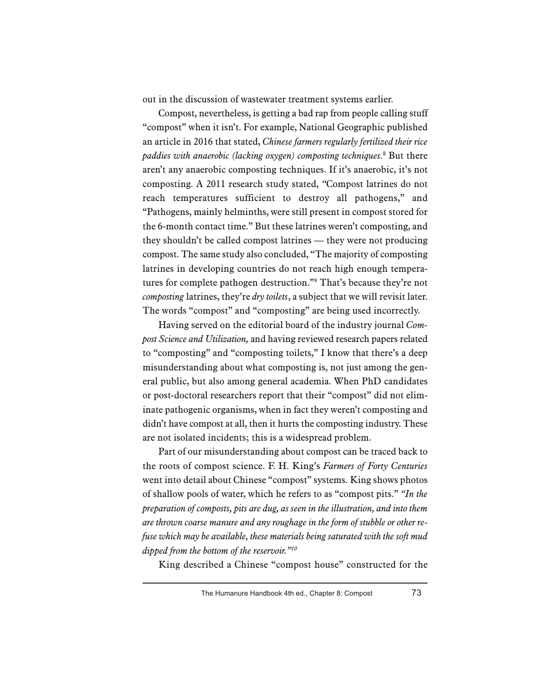out in the discussion of wastewater treatment systems earlier.

Compost, nevertheless, is getting a bad rap from people calling stuff "compost" when it isn't. For example, National Geographic published an article in 2016 that stated, *Chinese farmers regularly fertilized their rice paddies with anaerobic (lacking oxygen) composting techniques.*<sup>8</sup> But there aren't any anaerobic composting techniques. If it's anaerobic, it's not composting. A 2011 research study stated, *"*Compost latrines do not reach temperatures sufficient to destroy all pathogens," and "Pathogens, mainly helminths, were still present in compost stored for the 6-month contact time." But these latrines weren't composting, and they shouldn't be called compost latrines — they were not producing compost. The same study also concluded, "The majority of composting latrines in developing countries do not reach high enough temperatures for complete pathogen destruction."*<sup>9</sup>* That's because they're not *composting* latrines, they're *dry toilets*, a subject that we will revisit later. The words "compost" and "composting" are being used incorrectly.

Having served on the editorial board of the industry journal *Compost Science and Utilization,* and having reviewed research papers related to "composting" and "composting toilets," I know that there's a deep misunderstanding about what composting is, not just among the general public, but also among general academia. When PhD candidates or post-doctoral researchers report that their "compost" did not eliminate pathogenic organisms, when in fact they weren't composting and didn't have compost at all, then it hurts the composting industry. These are not isolated incidents; this is a widespread problem.

Part of our misunderstanding about compost can be traced back to the roots of compost science. F. H. King's *Farmers of Forty Centuries* went into detail about Chinese "compost" systems. King shows photos of shallow pools of water, which he refers to as "compost pits." *"In the preparation of composts, pits are dug, as seen in the illustration, and into them are thrown coarse manure and any roughage in the form of stubble or other refuse which may be available, these materials being saturated with the soft mud dipped from the bottom of the reservoir."10*

King described a Chinese "compost house" constructed for the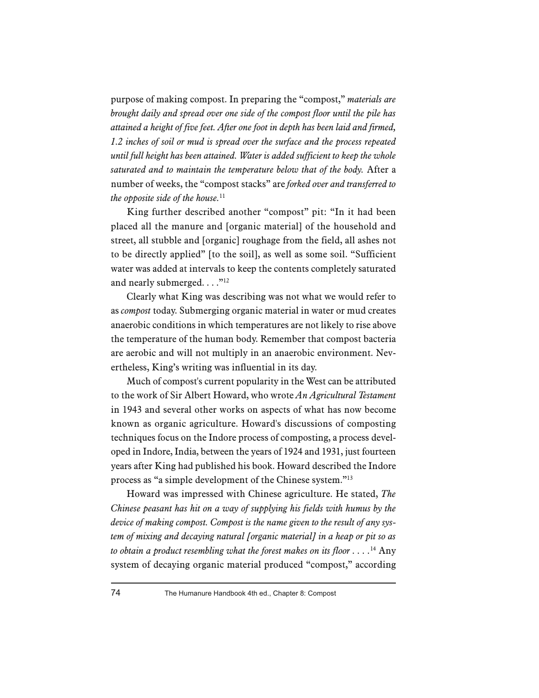purpose of making compost. In preparing the "compost," *materials are brought daily and spread over one side of the compost floor until the pile has attained a height of five feet. After one foot in depth has been laid and firmed, 1.2 inches of soil or mud is spread over the surface and the process repeated until full height has been attained. Water is added sufficient to keep the whole saturated and to maintain the temperature below that of the body.* After a number of weeks, the "compost stacks" are *forked over and transferred to the opposite side of the house.*<sup>11</sup>

King further described another "compost" pit: "In it had been placed all the manure and [organic material] of the household and street, all stubble and [organic] roughage from the field, all ashes not to be directly applied" [to the soil], as well as some soil. "Sufficient water was added at intervals to keep the contents completely saturated and nearly submerged.  $\dots$ <sup>"12</sup>

Clearly what King was describing was not what we would refer to as *compost* today. Submerging organic material in water or mud creates anaerobic conditions in which temperatures are not likely to rise above the temperature of the human body. Remember that compost bacteria are aerobic and will not multiply in an anaerobic environment. Nevertheless, King's writing was influential in its day.

Much of compost's current popularity in the West can be attributed to the work of Sir Albert Howard, who wrote *An Agricultural Testament* in 1943 and several other works on aspects of what has now become known as organic agriculture. Howard's discussions of composting techniques focus on the Indore process of composting, a process developed in Indore, India, between the years of 1924 and 1931, just fourteen years after King had published his book. Howard described the Indore process as "a simple development of the Chinese system."13

Howard was impressed with Chinese agriculture. He stated, *The Chinese peasant has hit on a way of supplying his fields with humus by the device of making compost. Compost is the name given to the result of any system of mixing and decaying natural [organic material] in a heap or pit so as to obtain a product resembling what the forest makes on its floor . . . .*<sup>14</sup> Any system of decaying organic material produced "compost," according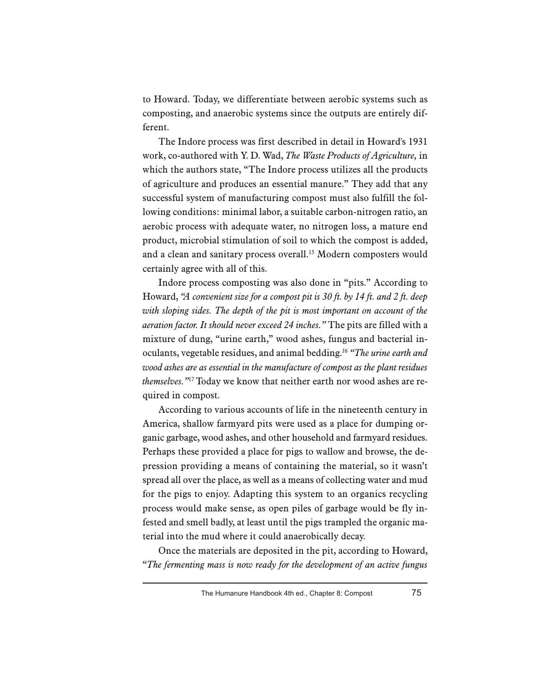to Howard. Today, we differentiate between aerobic systems such as composting, and anaerobic systems since the outputs are entirely different.

The Indore process was first described in detail in Howard's 1931 work, co-authored with Y. D. Wad, *The Waste Products of Agriculture,* in which the authors state, "The Indore process utilizes all the products of agriculture and produces an essential manure." They add that any successful system of manufacturing compost must also fulfill the following conditions: minimal labor, a suitable carbon-nitrogen ratio, an aerobic process with adequate water, no nitrogen loss, a mature end product, microbial stimulation of soil to which the compost is added, and a clean and sanitary process overall.<sup>15</sup> Modern composters would certainly agree with all of this.

Indore process composting was also done in "pits." According to Howard, *"A convenient size for a compost pit is 30 ft. by 14 ft. and 2 ft. deep with sloping sides. The depth of the pit is most important on account of the aeration factor. It should never exceed 24 inches."* The pits are filled with a mixture of dung, "urine earth," wood ashes, fungus and bacterial inoculants, vegetable residues, and animal bedding.*<sup>16</sup> "The urine earth and wood ashes are as essential in the manufacture of compost as the plant residues themselves."*17 Today we know that neither earth nor wood ashes are required in compost.

According to various accounts of life in the nineteenth century in America, shallow farmyard pits were used as a place for dumping organic garbage, wood ashes, and other household and farmyard residues. Perhaps these provided a place for pigs to wallow and browse, the depression providing a means of containing the material, so it wasn't spread all over the place, as well as a means of collecting water and mud for the pigs to enjoy. Adapting this system to an organics recycling process would make sense, as open piles of garbage would be fly infested and smell badly, at least until the pigs trampled the organic material into the mud where it could anaerobically decay.

Once the materials are deposited in the pit, according to Howard, "*The fermenting mass is now ready for the development of an active fungus*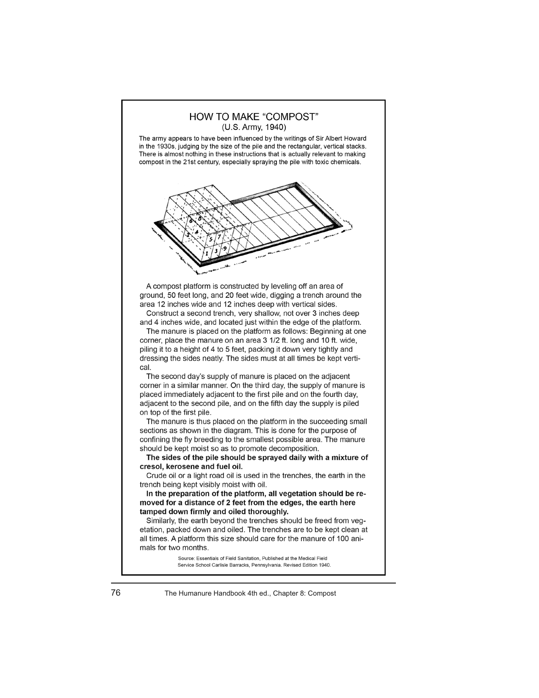## **HOW TO MAKE "COMPOST"** (U.S. Army, 1940)

The army appears to have been influenced by the writings of Sir Albert Howard in the 1930s, judging by the size of the pile and the rectangular, vertical stacks. There is almost nothing in these instructions that is actually relevant to making compost in the 21st century, especially spraying the pile with toxic chemicals.



A compost platform is constructed by leveling off an area of ground, 50 feet long, and 20 feet wide, digging a trench around the area 12 inches wide and 12 inches deep with vertical sides.

Construct a second trench, very shallow, not over 3 inches deep and 4 inches wide, and located just within the edge of the platform.

The manure is placed on the platform as follows: Beginning at one corner, place the manure on an area 3 1/2 ft. long and 10 ft. wide, piling it to a height of 4 to 5 feet, packing it down very tightly and dressing the sides neatly. The sides must at all times be kept vertical.

The second day's supply of manure is placed on the adjacent corner in a similar manner. On the third day, the supply of manure is placed immediately adjacent to the first pile and on the fourth day, adjacent to the second pile, and on the fifth day the supply is piled on top of the first pile.

The manure is thus placed on the platform in the succeeding small sections as shown in the diagram. This is done for the purpose of confining the fly breeding to the smallest possible area. The manure should be kept moist so as to promote decomposition.

The sides of the pile should be sprayed daily with a mixture of cresol, kerosene and fuel oil.

Crude oil or a light road oil is used in the trenches, the earth in the trench being kept visibly moist with oil.

In the preparation of the platform, all vegetation should be removed for a distance of 2 feet from the edges, the earth here tamped down firmly and oiled thoroughly.

Similarly, the earth beyond the trenches should be freed from vegetation, packed down and oiled. The trenches are to be kept clean at all times. A platform this size should care for the manure of 100 animals for two months.

> Source: Essentials of Field Sanitation, Published at the Medical Field Service School Carlisle Barracks, Pennsylvania. Revised Edition 1940.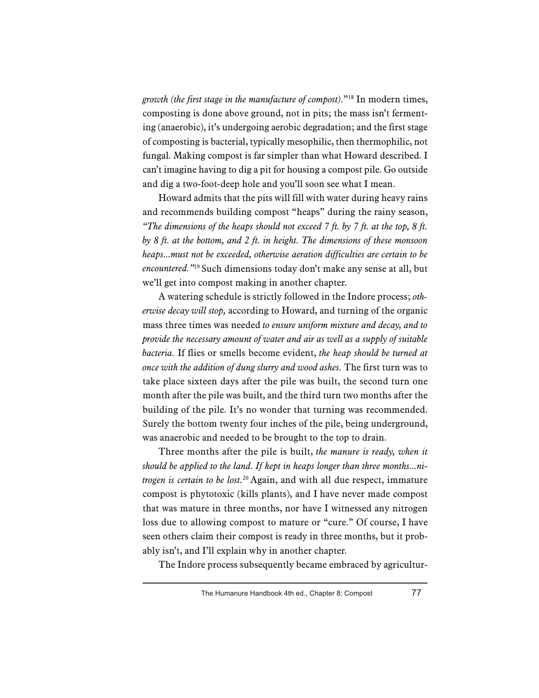*growth (the first stage in the manufacture of compost).*"18 In modern times, composting is done above ground, not in pits; the mass isn't fermenting (anaerobic), it's undergoing aerobic degradation; and the first stage of composting is bacterial, typically mesophilic, then thermophilic, not fungal. Making compost is far simpler than what Howard described. I can't imagine having to dig a pit for housing a compost pile. Go outside and dig a two-foot-deep hole and you'll soon see what I mean.

Howard admits that the pits will fill with water during heavy rains and recommends building compost "heaps" during the rainy season, *"The dimensions of the heaps should not exceed 7 ft. by 7 ft. at the top, 8 ft. by 8 ft. at the bottom, and 2 ft. in height. The dimensions of these monsoon heaps...must not be exceeded, otherwise aeration difficulties are certain to be encountered."*<sup>19</sup> Such dimensions today don't make any sense at all, but we'll get into compost making in another chapter.

A watering schedule is strictly followed in the Indore process; *otherwise decay will stop,* according to Howard, and turning of the organic mass three times was needed *to ensure uniform mixture and decay, and to provide the necessary amount of water and air as well as a supply of suitable bacteria.* If flies or smells become evident, *the heap should be turned at once with the addition of dung slurry and wood ashes.* The first turn was to take place sixteen days after the pile was built, the second turn one month after the pile was built, and the third turn two months after the building of the pile. It's no wonder that turning was recommended. Surely the bottom twenty four inches of the pile, being underground, was anaerobic and needed to be brought to the top to drain.

Three months after the pile is built, *the manure is ready, when it should be applied to the land. If kept in heaps longer than three months...nitrogen is certain to be lost.*<sup>20</sup> Again, and with all due respect, immature compost is phytotoxic (kills plants), and I have never made compost that was mature in three months, nor have I witnessed any nitrogen loss due to allowing compost to mature or "cure." Of course, I have seen others claim their compost is ready in three months, but it probably isn't, and I'll explain why in another chapter.

The Indore process subsequently became embraced by agricultur-